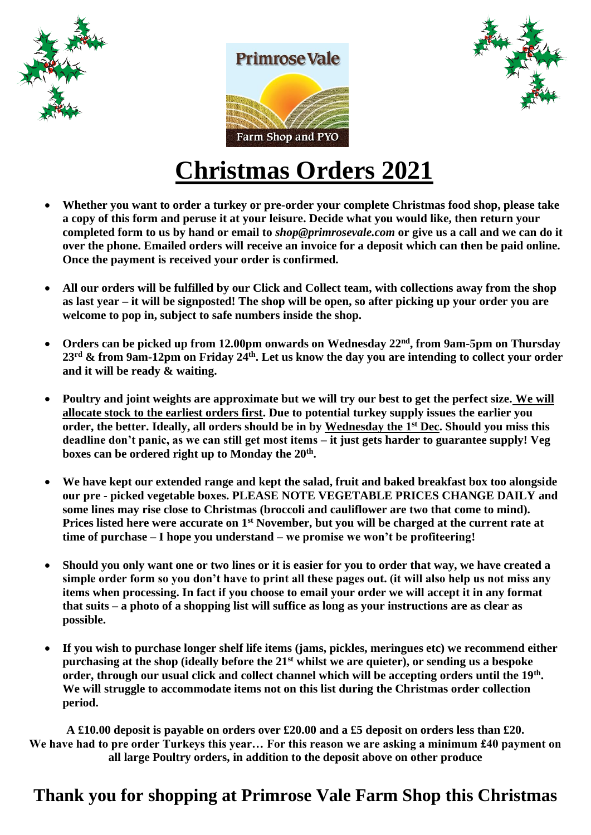





# **Christmas Orders 2021**

- **Whether you want to order a turkey or pre-order your complete Christmas food shop, please take a copy of this form and peruse it at your leisure. Decide what you would like, then return your completed form to us by hand or email to** *shop@primrosevale.com* **or give us a call and we can do it over the phone. Emailed orders will receive an invoice for a deposit which can then be paid online. Once the payment is received your order is confirmed.**
- **All our orders will be fulfilled by our Click and Collect team, with collections away from the shop as last year – it will be signposted! The shop will be open, so after picking up your order you are welcome to pop in, subject to safe numbers inside the shop.**
- **Orders can be picked up from 12.00pm onwards on Wednesday 22nd, from 9am-5pm on Thursday 23rd & from 9am-12pm on Friday 24th. Let us know the day you are intending to collect your order and it will be ready & waiting.**
- **Poultry and joint weights are approximate but we will try our best to get the perfect size. We will allocate stock to the earliest orders first. Due to potential turkey supply issues the earlier you order, the better. Ideally, all orders should be in by Wednesday the 1st Dec. Should you miss this deadline don't panic, as we can still get most items – it just gets harder to guarantee supply! Veg**  boxes can be ordered right up to Monday the 20<sup>th</sup>.
- **We have kept our extended range and kept the salad, fruit and baked breakfast box too alongside our pre - picked vegetable boxes. PLEASE NOTE VEGETABLE PRICES CHANGE DAILY and some lines may rise close to Christmas (broccoli and cauliflower are two that come to mind). Prices listed here were accurate on 1st November, but you will be charged at the current rate at time of purchase – I hope you understand – we promise we won't be profiteering!**
- **Should you only want one or two lines or it is easier for you to order that way, we have created a simple order form so you don't have to print all these pages out. (it will also help us not miss any items when processing. In fact if you choose to email your order we will accept it in any format that suits – a photo of a shopping list will suffice as long as your instructions are as clear as possible.**
- **If you wish to purchase longer shelf life items (jams, pickles, meringues etc) we recommend either purchasing at the shop (ideally before the 21st whilst we are quieter), or sending us a bespoke order, through our usual click and collect channel which will be accepting orders until the 19th . We will struggle to accommodate items not on this list during the Christmas order collection period.**

**A £10.00 deposit is payable on orders over £20.00 and a £5 deposit on orders less than £20. We have had to pre order Turkeys this year… For this reason we are asking a minimum £40 payment on all large Poultry orders, in addition to the deposit above on other produce**

## **Thank you for shopping at Primrose Vale Farm Shop this Christmas**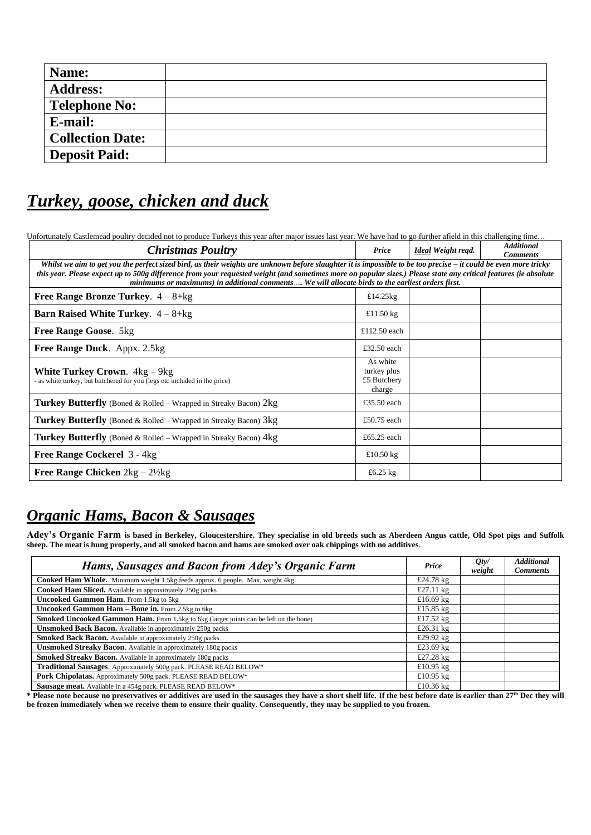| Name:                   |  |
|-------------------------|--|
| <b>Address:</b>         |  |
| <b>Telephone No:</b>    |  |
| E-mail:                 |  |
| <b>Collection Date:</b> |  |
| <b>Deposit Paid:</b>    |  |

## *Turkey, goose, chicken and duck*

Unfortunately Castlemead poultry decided not to produce Turkeys this year after major issues last year. We have had to go further afield in this challenging time…

| <b>Christmas Poultry</b>                                                                                                                                                                                                                                                                                                                                                                                                                   | Price                                            | Ideal Weight regd. | <b>Additional</b><br><b>Comments</b> |  |  |  |
|--------------------------------------------------------------------------------------------------------------------------------------------------------------------------------------------------------------------------------------------------------------------------------------------------------------------------------------------------------------------------------------------------------------------------------------------|--------------------------------------------------|--------------------|--------------------------------------|--|--|--|
| Whilst we aim to get you the perfect sized bird, as their weights are unknown before slaughter it is impossible to be too precise – it could be even more tricky<br>this year. Please expect up to 500g difference from your requested weight (and sometimes more on popular sizes.) Please state any critical features (ie absolute<br>minimums or maximums) in additional comments  We will allocate birds to the earliest orders first. |                                                  |                    |                                      |  |  |  |
| <b>Free Range Bronze Turkey.</b> $4-8+kg$                                                                                                                                                                                                                                                                                                                                                                                                  | £14.25 $kg$                                      |                    |                                      |  |  |  |
| <b>Barn Raised White Turkey.</b> $4-8+kg$                                                                                                                                                                                                                                                                                                                                                                                                  | £11.50 $kg$                                      |                    |                                      |  |  |  |
| <b>Free Range Goose.</b> 5kg                                                                                                                                                                                                                                                                                                                                                                                                               | £112.50 each                                     |                    |                                      |  |  |  |
| Free Range Duck. Appx. 2.5kg                                                                                                                                                                                                                                                                                                                                                                                                               | £32.50 each                                      |                    |                                      |  |  |  |
| <b>White Turkey Crown.</b> $4kg - 9kg$<br>- as white turkey, but butchered for you (legs etc included in the price)                                                                                                                                                                                                                                                                                                                        | As white<br>turkey plus<br>£5 Butchery<br>charge |                    |                                      |  |  |  |
| Turkey Butterfly (Boned & Rolled – Wrapped in Streaky Bacon) 2kg                                                                                                                                                                                                                                                                                                                                                                           | £35.50 each                                      |                    |                                      |  |  |  |
| <b>Turkey Butterfly</b> (Boned & Rolled – Wrapped in Streaky Bacon) $3kg$                                                                                                                                                                                                                                                                                                                                                                  | £50.75 each                                      |                    |                                      |  |  |  |
| <b>Turkey Butterfly</b> (Boned & Rolled – Wrapped in Streaky Bacon) $4kg$                                                                                                                                                                                                                                                                                                                                                                  | £65.25 each                                      |                    |                                      |  |  |  |
| Free Range Cockerel 3 - 4kg                                                                                                                                                                                                                                                                                                                                                                                                                | £10.50 $kg$                                      |                    |                                      |  |  |  |
| <b>Free Range Chicken</b> $2kg - 2\frac{1}{2}kg$                                                                                                                                                                                                                                                                                                                                                                                           | £6.25 $kg$                                       |                    |                                      |  |  |  |

## *Organic Hams, Bacon & Sausages*

**Adey's Organic Farm is based in Berkeley, Gloucestershire. They specialise in old breeds such as Aberdeen Angus cattle, Old Spot pigs and Suffolk sheep. The meat is hung properly, and all smoked bacon and hams are smoked over oak chippings with no additives**.

| Hams, Sausages and Bacon from Adey's Organic Farm                                            | Price        | Qty/<br>weight | <b>Additional</b><br><b>Comments</b> |
|----------------------------------------------------------------------------------------------|--------------|----------------|--------------------------------------|
| Cooked Ham Whole. Minimum weight 1.5kg feeds approx. 6 people. Max. weight 4kg.              | £24.78 $kg$  |                |                                      |
| Cooked Ham Sliced. Available in approximately 250g packs                                     | £27.11 $kg$  |                |                                      |
| <b>Uncooked Gammon Ham.</b> From 1.5kg to 5kg                                                | £16.69 $k$ g |                |                                      |
| Uncooked Gammon Ham - Bone in. From 2.5kg to 6kg                                             | £15.85 $kg$  |                |                                      |
| <b>Smoked Uncooked Gammon Ham.</b> From 1.5kg to 6kg (larger joints can be left on the bone) | £17.52 $kg$  |                |                                      |
| <b>Unsmoked Back Bacon.</b> Available in approximately 250g packs                            | £26.31 $k$ g |                |                                      |
| <b>Smoked Back Bacon.</b> Available in approximately 250g packs                              | £29.92 kg    |                |                                      |
| <b>Unsmoked Streaky Bacon.</b> Available in approximately 180g packs                         | £23.69 kg    |                |                                      |
| <b>Smoked Streaky Bacon.</b> Available in approximately 180g packs                           | £27.28 kg    |                |                                      |
| Traditional Sausages. Approximately 500g pack. PLEASE READ BELOW*                            | £10.95 $kg$  |                |                                      |
| Pork Chipolatas. Approximately 500g pack. PLEASE READ BELOW*                                 | £10.95 $k$ g |                |                                      |
| Sausage meat. Available in a 454g pack. PLEASE READ BELOW*                                   | £10.36 $k$ g |                |                                      |

**\* Please note because no preservatives or additives are used in the sausages they have a short shelf life. If the best before date is earlier than 27th Dec they will be frozen immediately when we receive them to ensure their quality. Consequently, they may be supplied to you frozen.**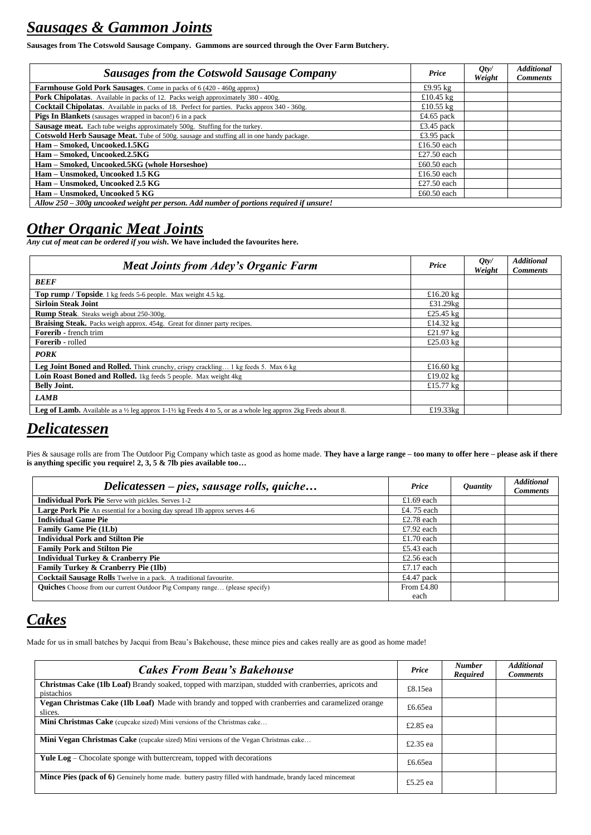## *Sausages & Gammon Joints*

**Sausages from The Cotswold Sausage Company. Gammons are sourced through the Over Farm Butchery.**

| <b>Sausages from the Cotswold Sausage Company</b>                                                   | Price       | Qty/<br>Weight | <b>Additional</b><br><b>Comments</b> |
|-----------------------------------------------------------------------------------------------------|-------------|----------------|--------------------------------------|
| Farmhouse Gold Pork Sausages. Come in packs of 6 (420 - 460g approx)                                | £9.95 $kg$  |                |                                      |
| Pork Chipolatas. Available in packs of 12. Packs weigh approximately 380 - 400g.                    | £10.45 $kg$ |                |                                      |
| <b>Cocktail Chipolatas.</b> Available in packs of 18. Perfect for parties. Packs approx 340 - 360g. | £10.55 $kg$ |                |                                      |
| Pigs In Blankets (sausages wrapped in bacon!) 6 in a pack                                           | £4.65 pack  |                |                                      |
| <b>Sausage meat.</b> Each tube weighs approximately 500g. Stuffing for the turkey.                  | £3.45 pack  |                |                                      |
| Cotswold Herb Sausage Meat. Tube of 500g. sausage and stuffing all in one handy package.            | £3.95 pack  |                |                                      |
| Ham - Smoked, Uncooked.1.5KG                                                                        | £16.50 each |                |                                      |
| Ham - Smoked, Uncooked.2.5KG                                                                        | £27.50 each |                |                                      |
| Ham - Smoked, Uncooked.5KG (whole Horseshoe)                                                        | £60.50 each |                |                                      |
| Ham - Unsmoked, Uncooked 1.5 KG                                                                     | £16.50 each |                |                                      |
| Ham - Unsmoked, Uncooked 2.5 KG                                                                     | £27.50 each |                |                                      |
| Ham - Unsmoked, Uncooked 5 KG                                                                       | £60.50 each |                |                                      |
| Allow 250 – 300g uncooked weight per person. Add number of portions required if unsure!             |             |                |                                      |

## *Other Organic Meat Joints*

*Any cut of meat can be ordered if you wish***. We have included the favourites here.**

| <b>Meat Joints from Adey's Organic Farm</b>                                                                                                              | Price              | Qty/<br>Weight | <b>Additional</b><br><b>Comments</b> |
|----------------------------------------------------------------------------------------------------------------------------------------------------------|--------------------|----------------|--------------------------------------|
| <b>BEEF</b>                                                                                                                                              |                    |                |                                      |
| <b>Top rump / Topside</b> . 1 kg feeds 5-6 people. Max weight 4.5 kg.                                                                                    | £16.20 $kg$        |                |                                      |
| <b>Sirloin Steak Joint</b>                                                                                                                               | £31.29 $k$ g       |                |                                      |
| Rump Steak. Steaks weigh about 250-300g.                                                                                                                 | £25.45 $\text{kg}$ |                |                                      |
| <b>Braising Steak.</b> Packs weigh approx. 454g. Great for dinner party recipes.                                                                         | £14.32 $kg$        |                |                                      |
| <b>Forerib</b> - french trim                                                                                                                             | £21.97 $\text{kg}$ |                |                                      |
| <b>Forerib</b> - rolled                                                                                                                                  | £25.03 $kg$        |                |                                      |
| <b>PORK</b>                                                                                                                                              |                    |                |                                      |
| Leg Joint Boned and Rolled. Think crunchy, crispy crackling 1 kg feeds 5. Max 6 kg                                                                       | £16.60 $kg$        |                |                                      |
| Loin Roast Boned and Rolled. 1kg feeds 5 people. Max weight 4kg                                                                                          | £19.02 $kg$        |                |                                      |
| <b>Belly Joint.</b>                                                                                                                                      | £15.77 $\text{kg}$ |                |                                      |
| <b>LAMB</b>                                                                                                                                              |                    |                |                                      |
| <b>Leg of Lamb.</b> Available as a $\frac{1}{2}$ leg approx 1-1 <sup>1</sup> / <sub>2</sub> kg Feeds 4 to 5, or as a whole leg approx 2kg Feeds about 8. | £19.33 $kg$        |                |                                      |

## *Delicatessen*

Pies & sausage rolls are from The Outdoor Pig Company which taste as good as home made. **They have a large range – too many to offer here – please ask if there is anything specific you require! 2, 3, 5 & 7lb pies available too…**

| Delicatessen – pies, sausage rolls, quiche                                        | Price        | <i><b>Quantity</b></i> | <b>Additional</b><br><b>Comments</b> |
|-----------------------------------------------------------------------------------|--------------|------------------------|--------------------------------------|
| <b>Individual Pork Pie</b> Serve with pickles. Serves 1-2                         | £1.69 each   |                        |                                      |
| Large Pork Pie An essential for a boxing day spread 1lb approx serves 4-6         | £4.75 each   |                        |                                      |
| <b>Individual Game Pie</b>                                                        | £2.78 each   |                        |                                      |
| <b>Family Game Pie (1Lb)</b>                                                      | £7.92 each   |                        |                                      |
| <b>Individual Pork and Stilton Pie</b>                                            | £1.70 each   |                        |                                      |
| <b>Family Pork and Stilton Pie</b>                                                | £5.43 each   |                        |                                      |
| <b>Individual Turkey &amp; Cranberry Pie</b>                                      | £2.56 each   |                        |                                      |
| Family Turkey & Cranberry Pie (1lb)                                               | £7.17 each   |                        |                                      |
| Cocktail Sausage Rolls Twelve in a pack. A traditional favourite.                 | £4.47 pack   |                        |                                      |
| <b>Quiches</b> Choose from our current Outdoor Pig Company range (please specify) | From $£4.80$ |                        |                                      |
|                                                                                   | each         |                        |                                      |

## *Cakes*

Made for us in small batches by Jacqui from Beau's Bakehouse, these mince pies and cakes really are as good as home made!

| <b>Cakes From Beau's Bakehouse</b>                                                                                  | Price    | <b>Number</b><br>Required | <b>Additional</b><br><b>Comments</b> |
|---------------------------------------------------------------------------------------------------------------------|----------|---------------------------|--------------------------------------|
| Christmas Cake (1lb Loaf) Brandy soaked, topped with marzipan, studded with cranberries, apricots and<br>pistachios | £8.15ea  |                           |                                      |
| Vegan Christmas Cake (1lb Loaf) Made with brandy and topped with cranberries and caramelized orange<br>slices.      | £6.65ea  |                           |                                      |
| <b>Mini Christmas Cake</b> (cupcake sized) Mini versions of the Christmas cake                                      | £2.85 ea |                           |                                      |
| <b>Mini Vegan Christmas Cake</b> (cupcake sized) Mini versions of the Vegan Christmas cake                          | £2.35 ea |                           |                                      |
| <b>Yule Log</b> – Chocolate sponge with buttercream, topped with decorations                                        | £6.65ea  |                           |                                      |
| Mince Pies (pack of 6) Genuinely home made. buttery pastry filled with handmade, brandy laced mincemeat             | £5.25 ea |                           |                                      |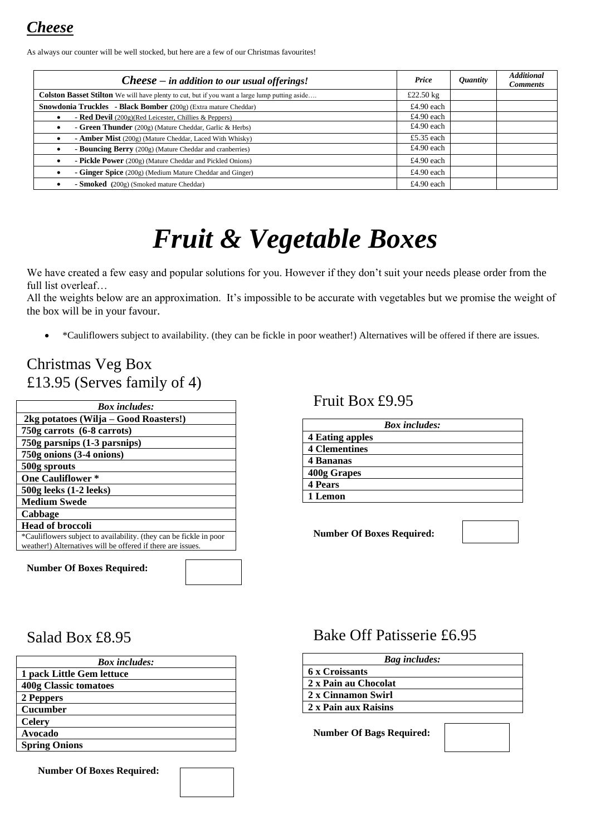*Cheese*

As always our counter will be well stocked, but here are a few of our Christmas favourites!

| $Checkes e - in addition to our usual of ferings!$                                                   |             | <i><b>Quantity</b></i> | <b>Additional</b><br><b>Comments</b> |
|------------------------------------------------------------------------------------------------------|-------------|------------------------|--------------------------------------|
| <b>Colston Basset Stilton</b> We will have plenty to cut, but if you want a large lump putting aside | £22.50 $kg$ |                        |                                      |
| Snowdonia Truckles - Black Bomber (200g) (Extra mature Cheddar)                                      | £4.90 each  |                        |                                      |
| - Red Devil $(200g)$ (Red Leicester, Chillies & Peppers)                                             | £4.90 each  |                        |                                      |
| - Green Thunder (200g) (Mature Cheddar, Garlic & Herbs)                                              |             |                        |                                      |
| - Amber Mist (200g) (Mature Cheddar, Laced With Whisky)                                              | £5.35 each  |                        |                                      |
| - Bouncing Berry (200g) (Mature Cheddar and cranberries)                                             |             |                        |                                      |
| - Pickle Power (200g) (Mature Cheddar and Pickled Onions)                                            | £4.90 each  |                        |                                      |
| - Ginger Spice (200g) (Medium Mature Cheddar and Ginger)                                             | £4.90 each  |                        |                                      |
| - Smoked (200g) (Smoked mature Cheddar)                                                              | £4.90 each  |                        |                                      |

# *Fruit & Vegetable Boxes*

We have created a few easy and popular solutions for you. However if they don't suit your needs please order from the full list overleaf…

All the weights below are an approximation. It's impossible to be accurate with vegetables but we promise the weight of the box will be in your favour.

• \*Cauliflowers subject to availability. (they can be fickle in poor weather!) Alternatives will be offered if there are issues.

## Christmas Veg Box £13.95 (Serves family of 4)

| <b>Box</b> includes:                                                                                                              |  |
|-----------------------------------------------------------------------------------------------------------------------------------|--|
| 2kg potatoes (Wilja – Good Roasters!)                                                                                             |  |
| 750g carrots (6-8 carrots)                                                                                                        |  |
| 750g parsnips (1-3 parsnips)                                                                                                      |  |
| 750g onions (3-4 onions)                                                                                                          |  |
| 500g sprouts                                                                                                                      |  |
| <b>One Cauliflower *</b>                                                                                                          |  |
| $500g$ leeks $(1-2 \text{ levels})$                                                                                               |  |
| <b>Medium Swede</b>                                                                                                               |  |
| Cabbage                                                                                                                           |  |
| <b>Head of broccoli</b>                                                                                                           |  |
| *Cauliflowers subject to availability. (they can be fickle in poor<br>weather!) Alternatives will be offered if there are issues. |  |
|                                                                                                                                   |  |

**Number Of Boxes Required:**

#### Fruit Box £9.95

| <b>Box</b> includes:   |  |  |
|------------------------|--|--|
| <b>4 Eating apples</b> |  |  |
| <b>4 Clementines</b>   |  |  |
| 4 Bananas              |  |  |
| 400g Grapes            |  |  |
| <b>4 Pears</b>         |  |  |
| 1 Lemon                |  |  |

**Number Of Boxes Required:**



### Salad Box £8.95

| <b>Box</b> includes:      |
|---------------------------|
| 1 pack Little Gem lettuce |
| 400g Classic tomatoes     |
| 2 Peppers                 |
| Cucumber                  |
| <b>Celery</b>             |
| Avocado                   |
| <b>Spring Onions</b>      |

**Number Of Boxes Required:**

## Bake Off Patisserie £6.95

| <b>Bag</b> includes: |
|----------------------|
| 6 x Croissants       |
| 2 x Pain au Chocolat |
| 2 x Cinnamon Swirl   |
| 2 x Pain aux Raisins |

**Number Of Bags Required:**

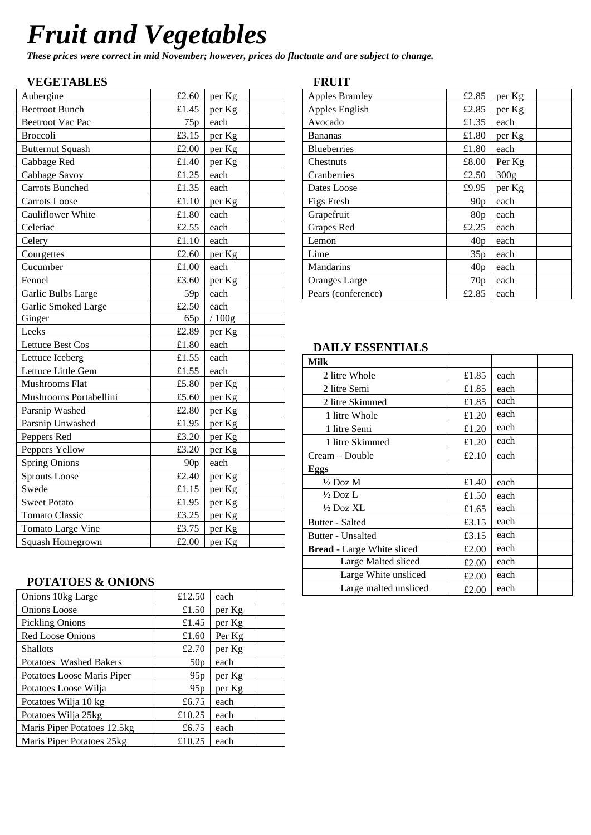# *Fruit and Vegetables*

*These prices were correct in mid November; however, prices do fluctuate and are subject to change.*

#### **VEGETABLES**

| Aubergine               | £2.60           | per Kg |
|-------------------------|-----------------|--------|
| <b>Beetroot Bunch</b>   | £1.45           | per Kg |
| <b>Beetroot Vac Pac</b> | 75p             | each   |
| <b>Broccoli</b>         | £3.15           | per Kg |
| <b>Butternut Squash</b> | £2.00           | per Kg |
| Cabbage Red             | £1.40           | per Kg |
| Cabbage Savoy           | £1.25           | each   |
| <b>Carrots Bunched</b>  | £1.35           | each   |
| Carrots Loose           | £1.10           | per Kg |
| Cauliflower White       | £1.80           | each   |
| Celeriac                | £2.55           | each   |
| Celery                  | £1.10           | each   |
| Courgettes              | £2.60           | per Kg |
| Cucumber                | £1.00           | each   |
| Fennel                  | £3.60           | per Kg |
| Garlic Bulbs Large      | 59 <sub>p</sub> | each   |
| Garlic Smoked Large     | £2.50           | each   |
| Ginger                  | 65p             | /100g  |
| Leeks                   | £2.89           | per Kg |
| Lettuce Best Cos        | £1.80           | each   |
| Lettuce Iceberg         | £1.55           | each   |
| Lettuce Little Gem      | £1.55           | each   |
| Mushrooms Flat          | £5.80           | per Kg |
| Mushrooms Portabellini  | £5.60           | per Kg |
| Parsnip Washed          | £2.80           | per Kg |
| Parsnip Unwashed        | £1.95           | per Kg |
| Peppers Red             | £3.20           | per Kg |
| Peppers Yellow          | £3.20           | per Kg |
| <b>Spring Onions</b>    | 90 <sub>p</sub> | each   |
| Sprouts Loose           | £2.40           | per Kg |
| Swede                   | £1.15           | per Kg |
| <b>Sweet Potato</b>     | £1.95           | per Kg |
| <b>Tomato Classic</b>   | £3.25           | per Kg |
| Tomato Large Vine       | £3.75           | per Kg |
| Squash Homegrown        | £2.00           | per Kg |

### **POTATOES & ONIONS**

| Onions 10kg Large           | £12.50 | each   |
|-----------------------------|--------|--------|
| Onions Loose                | £1.50  | per Kg |
| <b>Pickling Onions</b>      | £1.45  | per Kg |
| <b>Red Loose Onions</b>     | £1.60  | Per Kg |
| <b>Shallots</b>             | £2.70  | per Kg |
| Potatoes Washed Bakers      | 50p    | each   |
| Potatoes Loose Maris Piper  | 95p    | per Kg |
| Potatoes Loose Wilja        | 95p    | per Kg |
| Potatoes Wilja 10 kg        | £6.75  | each   |
| Potatoes Wilja 25kg         | £10.25 | each   |
| Maris Piper Potatoes 12.5kg | £6.75  | each   |
| Maris Piper Potatoes 25kg   | £10.25 | each   |

#### **FRUIT**

| <b>Apples Bramley</b> | £2.85 | per Kg           |  |
|-----------------------|-------|------------------|--|
| Apples English        | £2.85 | per Kg           |  |
| Avocado               | £1.35 | each             |  |
| <b>Bananas</b>        | £1.80 | per Kg           |  |
| <b>Blueberries</b>    | £1.80 | each             |  |
| Chestnuts             | £8.00 | Per Kg           |  |
| Cranberries           | £2.50 | 300 <sub>g</sub> |  |
| Dates Loose           | £9.95 | per Kg           |  |
| <b>Figs Fresh</b>     | 90p   | each             |  |
| Grapefruit            | 80p   | each             |  |
| Grapes Red            | £2.25 | each             |  |
| Lemon                 | 40p   | each             |  |
| Lime                  | 35p   | each             |  |
| Mandarins             | 40p   | each             |  |
| <b>Oranges Large</b>  | 70p   | each             |  |
| Pears (conference)    | £2.85 | each             |  |

### **DAILY ESSENTIALS**

| <b>Milk</b>                       |               |      |  |
|-----------------------------------|---------------|------|--|
| 2 litre Whole                     | £1.85         | each |  |
| 2 litre Semi                      | £1.85         | each |  |
| 2 litre Skimmed                   | £1.85         | each |  |
| 1 litre Whole                     | each<br>£1.20 |      |  |
| 1 litre Semi                      | £1.20         | each |  |
| 1 litre Skimmed                   | £1.20         | each |  |
| Cream – Double                    | £2.10         | each |  |
| <b>Eggs</b>                       |               |      |  |
| $\frac{1}{2}$ Doz M               | £1.40         | each |  |
| $\frac{1}{2}$ Doz L               | £1.50         | each |  |
| $\frac{1}{2}$ Doz XL              | £1.65         | each |  |
| Butter - Salted                   | £3.15         | each |  |
| Butter - Unsalted                 | £3.15         | each |  |
| <b>Bread</b> - Large White sliced | £2.00         | each |  |
| Large Malted sliced               | £2.00         | each |  |
| Large White unsliced              | £2.00         | each |  |
| Large malted unsliced             | £2.00         | each |  |